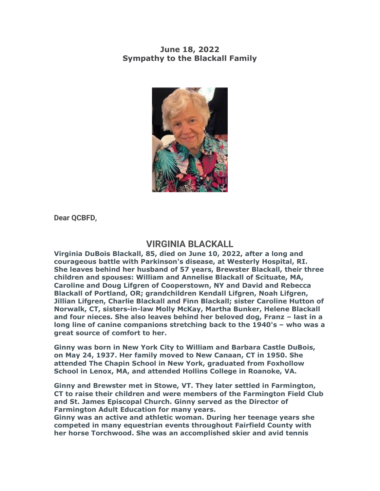## **June 18, 2022 Sympathy to the Blackall Family**



**Dear QCBFD,**

## **VIRGINIA BLACKALL**

**Virginia DuBois Blackall, 85, died on June 10, 2022, after a long and courageous battle with Parkinson's disease, at Westerly Hospital, RI. She leaves behind her husband of 57 years, Brewster Blackall, their three children and spouses: William and Annelise Blackall of Scituate, MA, Caroline and Doug Lifgren of Cooperstown, NY and David and Rebecca Blackall of Portland, OR; grandchildren Kendall Lifgren, Noah Lifgren, Jillian Lifgren, Charlie Blackall and Finn Blackall; sister Caroline Hutton of Norwalk, CT, sisters-in-law Molly McKay, Martha Bunker, Helene Blackall and four nieces. She also leaves behind her beloved dog, Franz – last in a long line of canine companions stretching back to the 1940's – who was a great source of comfort to her.**

**Ginny was born in New York City to William and Barbara Castle DuBois, on May 24, 1937. Her family moved to New Canaan, CT in 1950. She attended The Chapin School in New York, graduated from Foxhollow School in Lenox, MA, and attended Hollins College in Roanoke, VA.**

**Ginny and Brewster met in Stowe, VT. They later settled in Farmington, CT to raise their children and were members of the Farmington Field Club and St. James Episcopal Church. Ginny served as the Director of Farmington Adult Education for many years.**

**Ginny was an active and athletic woman. During her teenage years she competed in many equestrian events throughout Fairfield County with her horse Torchwood. She was an accomplished skier and avid tennis**